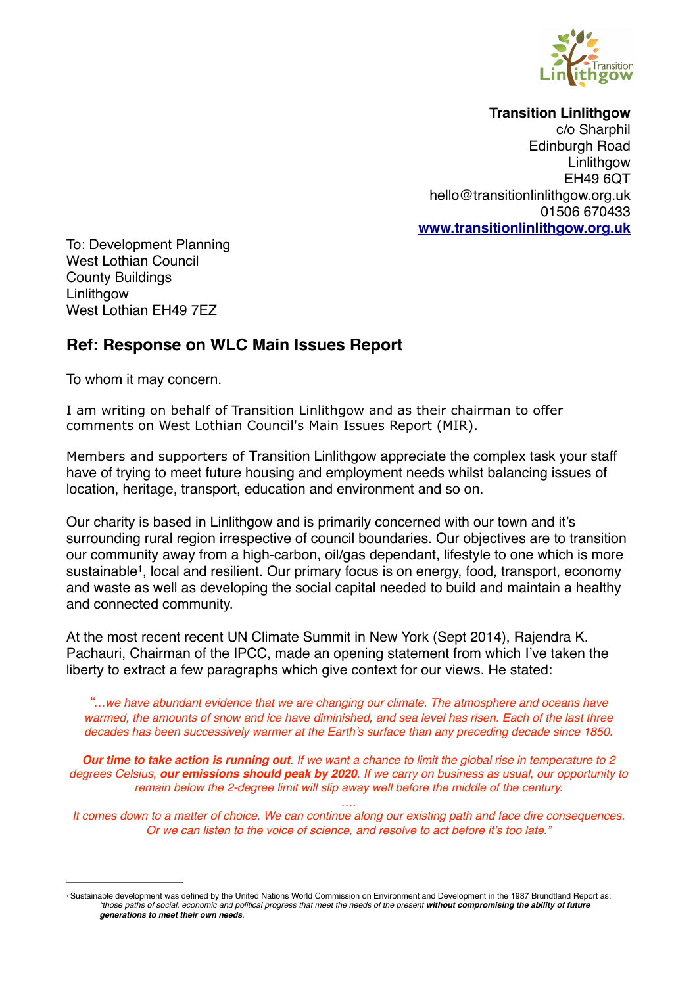

**Transition Linlithgow**

c/o Sharphil Edinburgh Road **Linlithgow** EH49 6QT hello@transitionlinlithgow.org.uk 01506 670433 **[www.transitionlinlithgow.org.uk](http://www.transitionlinlithgow.org.uk)**

To: Development Planning West Lothian Council County Buildings Linlithgow West Lothian EH49 7EZ

## **Ref: Response on WLC Main Issues Report**

To whom it may concern.

I am writing on behalf of Transition Linlithgow and as their chairman to offer comments on West Lothian Council's Main Issues Report (MIR).

Members and supporters of Transition Linlithgow appreciate the complex task your staff have of trying to meet future housing and employment needs whilst balancing issues of location, heritage, transport, education and environment and so on.

Our charity is based in Linlithgow and is primarily concerned with our town and it's surrounding rural region irrespective of council boundaries. Our objectives are to transition our community away from a high-carbon, oil/gas dependant, lifestyle to one which is more sustainable<sup>1</sup>, local and resilient. Our primary focus is on energy, food, transport, economy and waste as well as developing the social capital needed to build and maintain a healthy and connected community.

At the most recent recent UN Climate Summit in New York (Sept 2014), Rajendra K. Pachauri, Chairman of the IPCC, made an opening statement from which I've taken the liberty to extract a few paragraphs which give context for our views. He stated:

*"…we have abundant evidence that we are changing our climate. The atmosphere and oceans have warmed, the amounts of snow and ice have diminished, and sea level has risen. Each of the last three decades has been successively warmer at the Earth's surface than any preceding decade since 1850.*

*Our time to take action is running out. If we want a chance to limit the global rise in temperature to 2 degrees Celsius, our emissions should peak by 2020. If we carry on business as usual, our opportunity to remain below the 2-degree limit will slip away well before the middle of the century.*

*…. It comes down to a matter of choice. We can continue along our existing path and face dire consequences. Or we can listen to the voice of science, and resolve to act before it's too late."*

Sustainable development was defined by the United Nations World Commission on Environment and Development in the 1987 Brundtland Report as: *"those paths of social, economic and political progress that meet the needs of the present without compromising the ability of future generations to meet their own needs.*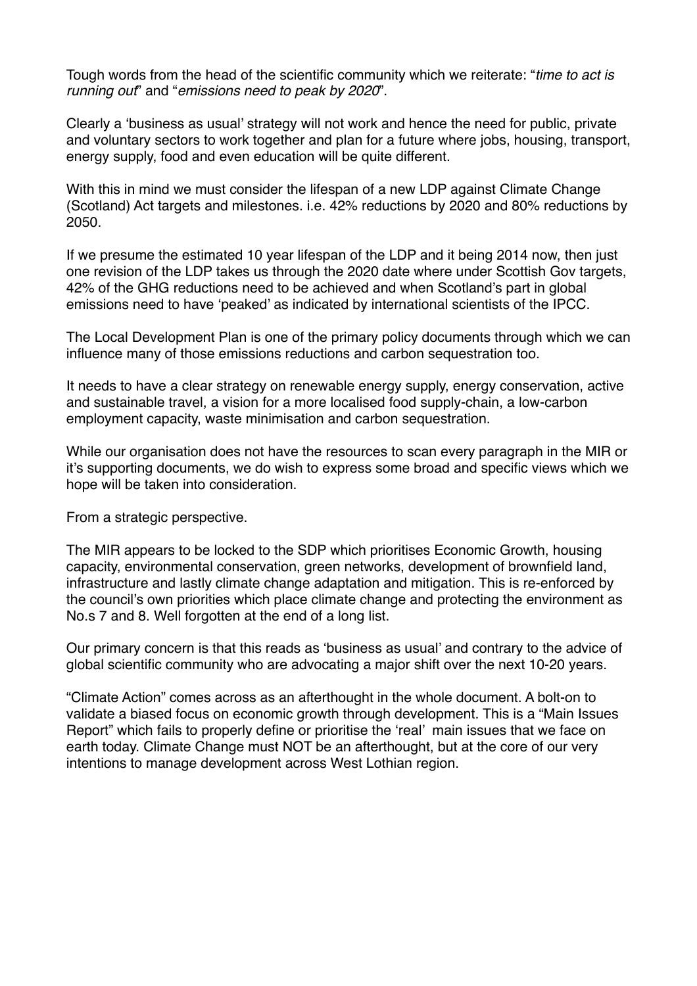Tough words from the head of the scientific community which we reiterate: "*time to act is running out*" and "*emissions need to peak by 2020*".

Clearly a 'business as usual' strategy will not work and hence the need for public, private and voluntary sectors to work together and plan for a future where jobs, housing, transport, energy supply, food and even education will be quite different.

With this in mind we must consider the lifespan of a new LDP against Climate Change (Scotland) Act targets and milestones. i.e. 42% reductions by 2020 and 80% reductions by 2050.

If we presume the estimated 10 year lifespan of the LDP and it being 2014 now, then just one revision of the LDP takes us through the 2020 date where under Scottish Gov targets, 42% of the GHG reductions need to be achieved and when Scotland's part in global emissions need to have 'peaked' as indicated by international scientists of the IPCC.

The Local Development Plan is one of the primary policy documents through which we can influence many of those emissions reductions and carbon sequestration too.

It needs to have a clear strategy on renewable energy supply, energy conservation, active and sustainable travel, a vision for a more localised food supply-chain, a low-carbon employment capacity, waste minimisation and carbon sequestration.

While our organisation does not have the resources to scan every paragraph in the MIR or it's supporting documents, we do wish to express some broad and specific views which we hope will be taken into consideration.

From a strategic perspective.

The MIR appears to be locked to the SDP which prioritises Economic Growth, housing capacity, environmental conservation, green networks, development of brownfield land, infrastructure and lastly climate change adaptation and mitigation. This is re-enforced by the council's own priorities which place climate change and protecting the environment as No.s 7 and 8. Well forgotten at the end of a long list.

Our primary concern is that this reads as 'business as usual' and contrary to the advice of global scientific community who are advocating a major shift over the next 10-20 years.

"Climate Action" comes across as an afterthought in the whole document. A bolt-on to validate a biased focus on economic growth through development. This is a "Main Issues Report" which fails to properly define or prioritise the 'real' main issues that we face on earth today. Climate Change must NOT be an afterthought, but at the core of our very intentions to manage development across West Lothian region.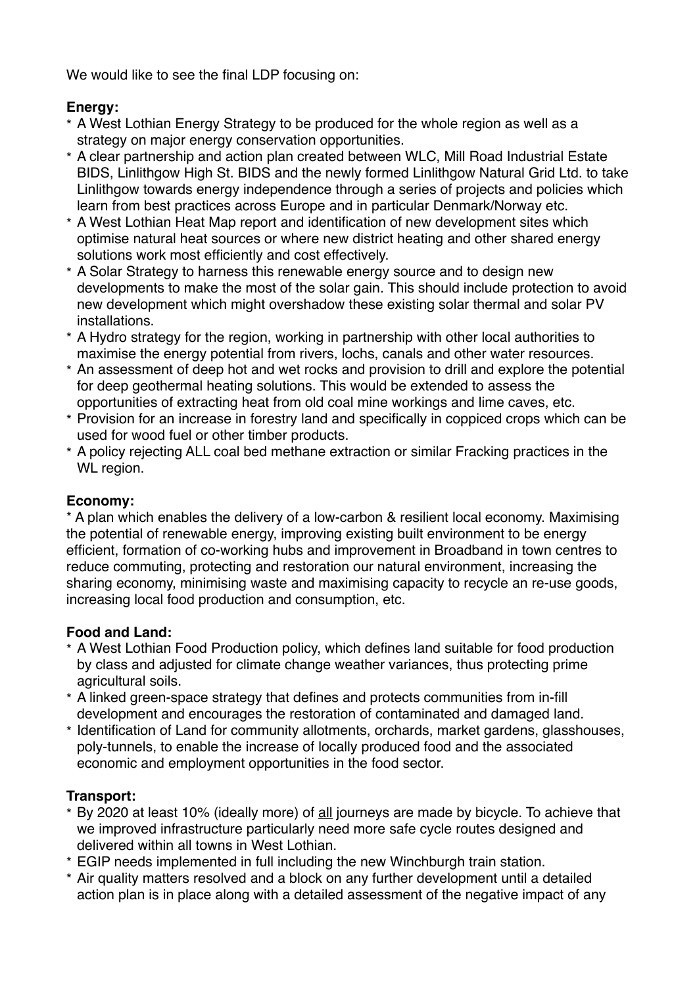We would like to see the final LDP focusing on:

#### **Energy:**

- \* A West Lothian Energy Strategy to be produced for the whole region as well as a strategy on major energy conservation opportunities.
- \* A clear partnership and action plan created between WLC, Mill Road Industrial Estate BIDS, Linlithgow High St. BIDS and the newly formed Linlithgow Natural Grid Ltd. to take Linlithgow towards energy independence through a series of projects and policies which learn from best practices across Europe and in particular Denmark/Norway etc.
- \* A West Lothian Heat Map report and identification of new development sites which optimise natural heat sources or where new district heating and other shared energy solutions work most efficiently and cost effectively.
- \* A Solar Strategy to harness this renewable energy source and to design new developments to make the most of the solar gain. This should include protection to avoid new development which might overshadow these existing solar thermal and solar PV installations.
- \* A Hydro strategy for the region, working in partnership with other local authorities to maximise the energy potential from rivers, lochs, canals and other water resources.
- \* An assessment of deep hot and wet rocks and provision to drill and explore the potential for deep geothermal heating solutions. This would be extended to assess the opportunities of extracting heat from old coal mine workings and lime caves, etc.
- \* Provision for an increase in forestry land and specifically in coppiced crops which can be used for wood fuel or other timber products.
- \* A policy rejecting ALL coal bed methane extraction or similar Fracking practices in the WL region.

### **Economy:**

\* A plan which enables the delivery of a low-carbon & resilient local economy. Maximising the potential of renewable energy, improving existing built environment to be energy efficient, formation of co-working hubs and improvement in Broadband in town centres to reduce commuting, protecting and restoration our natural environment, increasing the sharing economy, minimising waste and maximising capacity to recycle an re-use goods, increasing local food production and consumption, etc.

### **Food and Land:**

- \* A West Lothian Food Production policy, which defines land suitable for food production by class and adjusted for climate change weather variances, thus protecting prime agricultural soils.
- \* A linked green-space strategy that defines and protects communities from in-fill development and encourages the restoration of contaminated and damaged land.
- \* Identification of Land for community allotments, orchards, market gardens, glasshouses, poly-tunnels, to enable the increase of locally produced food and the associated economic and employment opportunities in the food sector.

# **Transport:**

- \* By 2020 at least 10% (ideally more) of all journeys are made by bicycle. To achieve that we improved infrastructure particularly need more safe cycle routes designed and delivered within all towns in West Lothian.
- \* EGIP needs implemented in full including the new Winchburgh train station.
- \* Air quality matters resolved and a block on any further development until a detailed action plan is in place along with a detailed assessment of the negative impact of any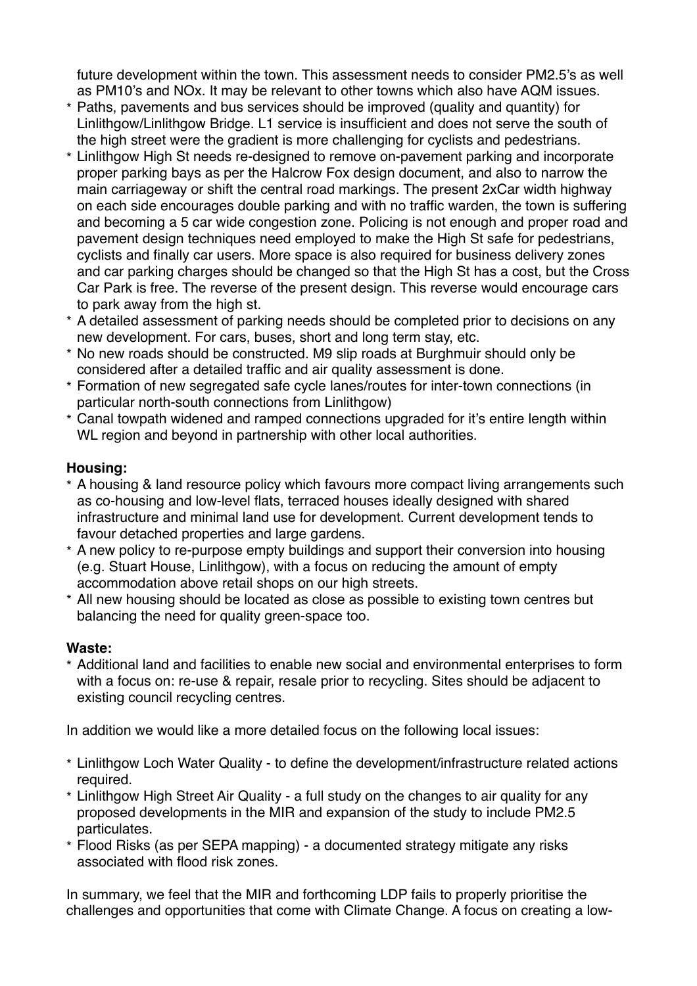future development within the town. This assessment needs to consider PM2.5's as well as PM10's and NOx. It may be relevant to other towns which also have AQM issues.

- \* Paths, pavements and bus services should be improved (quality and quantity) for Linlithgow/Linlithgow Bridge. L1 service is insufficient and does not serve the south of the high street were the gradient is more challenging for cyclists and pedestrians.
- \* Linlithgow High St needs re-designed to remove on-pavement parking and incorporate proper parking bays as per the Halcrow Fox design document, and also to narrow the main carriageway or shift the central road markings. The present 2xCar width highway on each side encourages double parking and with no traffic warden, the town is suffering and becoming a 5 car wide congestion zone. Policing is not enough and proper road and pavement design techniques need employed to make the High St safe for pedestrians, cyclists and finally car users. More space is also required for business delivery zones and car parking charges should be changed so that the High St has a cost, but the Cross Car Park is free. The reverse of the present design. This reverse would encourage cars to park away from the high st.
- \* A detailed assessment of parking needs should be completed prior to decisions on any new development. For cars, buses, short and long term stay, etc.
- \* No new roads should be constructed. M9 slip roads at Burghmuir should only be considered after a detailed traffic and air quality assessment is done.
- \* Formation of new segregated safe cycle lanes/routes for inter-town connections (in particular north-south connections from Linlithgow)
- \* Canal towpath widened and ramped connections upgraded for it's entire length within WL region and beyond in partnership with other local authorities.

#### **Housing:**

- \* A housing & land resource policy which favours more compact living arrangements such as co-housing and low-level flats, terraced houses ideally designed with shared infrastructure and minimal land use for development. Current development tends to favour detached properties and large gardens.
- \* A new policy to re-purpose empty buildings and support their conversion into housing (e.g. Stuart House, Linlithgow), with a focus on reducing the amount of empty accommodation above retail shops on our high streets.
- \* All new housing should be located as close as possible to existing town centres but balancing the need for quality green-space too.

#### **Waste:**

\* Additional land and facilities to enable new social and environmental enterprises to form with a focus on: re-use & repair, resale prior to recycling. Sites should be adjacent to existing council recycling centres.

In addition we would like a more detailed focus on the following local issues:

- \* Linlithgow Loch Water Quality to define the development/infrastructure related actions required.
- \* Linlithgow High Street Air Quality a full study on the changes to air quality for any proposed developments in the MIR and expansion of the study to include PM2.5 particulates.
- \* Flood Risks (as per SEPA mapping) a documented strategy mitigate any risks associated with flood risk zones.

In summary, we feel that the MIR and forthcoming LDP fails to properly prioritise the challenges and opportunities that come with Climate Change. A focus on creating a low